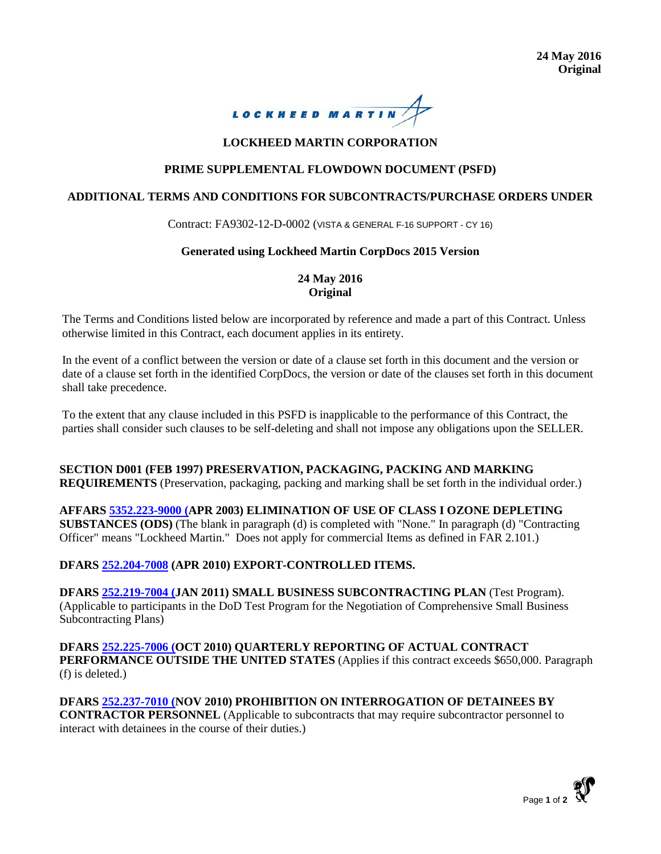

# **LOCKHEED MARTIN CORPORATION**

## **PRIME SUPPLEMENTAL FLOWDOWN DOCUMENT (PSFD)**

### **ADDITIONAL TERMS AND CONDITIONS FOR SUBCONTRACTS/PURCHASE ORDERS UNDER**

Contract: FA9302-12-D-0002 (VISTA & GENERAL F-16 SUPPORT - CY 16)

### **Generated using Lockheed Martin CorpDocs 2015 Version**

### **24 May 2016 Original**

The Terms and Conditions listed below are incorporated by reference and made a part of this Contract. Unless otherwise limited in this Contract, each document applies in its entirety.

In the event of a conflict between the version or date of a clause set forth in this document and the version or date of a clause set forth in the identified CorpDocs, the version or date of the clauses set forth in this document shall take precedence.

To the extent that any clause included in this PSFD is inapplicable to the performance of this Contract, the parties shall consider such clauses to be self-deleting and shall not impose any obligations upon the SELLER.

**SECTION D001 (FEB 1997) PRESERVATION, PACKAGING, PACKING AND MARKING REQUIREMENTS** (Preservation, packaging, packing and marking shall be set forth in the individual order.)

**AFFARS [5352.223-9000](http://flag.global.lmco.com/flag/search/dspGuidance.cfm?dsply_rfrnc_code=5352.223-9000&supp_id=3) (APR 2003) ELIMINATION OF USE OF CLASS I OZONE DEPLETING SUBSTANCES (ODS)** (The blank in paragraph (d) is completed with "None." In paragraph (d) "Contracting Officer" means "Lockheed Martin." Does not apply for commercial Items as defined in FAR 2.101.)

## **DFARS [252.204-7008](http://flag.global.lmco.com/flag/search/dspGuidance.cfm?dsply_rfrnc_code=252.204-7008&supp_id=6) (APR 2010) EXPORT-CONTROLLED ITEMS.**

**DFARS [252.219-7004](http://flag.global.lmco.com/flag/search/dspGuidance.cfm?dsply_rfrnc_code=252.219-7004&supp_id=6) (JAN 2011) SMALL BUSINESS SUBCONTRACTING PLAN** (Test Program). (Applicable to participants in the DoD Test Program for the Negotiation of Comprehensive Small Business Subcontracting Plans)

**DFARS [252.225-7006](http://flag.global.lmco.com/flag/search/dspGuidance.cfm?dsply_rfrnc_code=252.225-7006&supp_id=6) (OCT 2010) QUARTERLY REPORTING OF ACTUAL CONTRACT PERFORMANCE OUTSIDE THE UNITED STATES** (Applies if this contract exceeds \$650,000. Paragraph (f) is deleted.)

**DFARS [252.237-7010](http://flag.global.lmco.com/flag/search/dspGuidance.cfm?dsply_rfrnc_code=252.237-7010&supp_id=6) (NOV 2010) PROHIBITION ON INTERROGATION OF DETAINEES BY CONTRACTOR PERSONNEL** (Applicable to subcontracts that may require subcontractor personnel to interact with detainees in the course of their duties.)